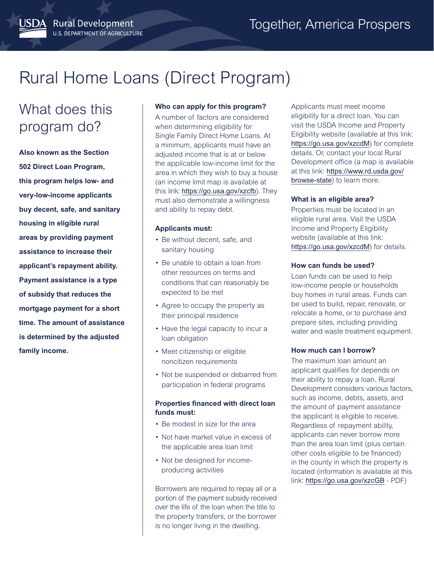# Rural Home Loans (Direct Program)

# What does this program do?

JSDA Rural Development

U.S. DEPARTMENT OF AGRICULTURE

**Also known as the Section 502 Direct Loan Program, this program helps low- and very-low-income applicants buy decent, safe, and sanitary housing in eligible rural areas by providing payment assistance to increase their applicant's repayment ability. Payment assistance is a type of subsidy that reduces the mortgage payment for a short time. The amount of assistance is determined by the adjusted family income.**

#### **Who can apply for this program?**

A number of factors are considered when determining eligibility for Single Family Direct Home Loans. At a minimum, applicants must have an adjusted income that is at or below the applicable low-income limit for the area in which they wish to buy a house (an income limit map is available at this link: <https://go.usa.gov/xzcfb>). They must also demonstrate a willingness and ability to repay debt.

#### **Applicants must:**

- Be without decent, safe, and sanitary housing
- Be unable to obtain a loan from other resources on terms and conditions that can reasonably be expected to be met
- Agree to occupy the property as their principal residence
- Have the legal capacity to incur a loan obligation
- Meet citizenship or eligible noncitizen requirements
- Not be suspended or debarred from participation in federal programs

#### **Properties financed with direct loan funds must:**

- Be modest in size for the area
- Not have market value in excess of the applicable area loan limit
- Not be designed for incomeproducing activities

Borrowers are required to repay all or a portion of the payment subsidy received over the life of the loan when the title to the property transfers, or the borrower is no longer living in the dwelling.

Applicants must meet income eligibility for a direct loan. You can visit the USDA Income and Property Eligibility website (available at this link: <https://go.usa.gov/xzcdM>) for complete details. Or, contact your local Rural Development office (a map is available at this link: [https://www.rd.usda.gov/](https://www.rd.usda.gov/browse-state) [browse-state](https://www.rd.usda.gov/browse-state)) to learn more.

# **What is an eligible area?**

Properties must be located in an eligible rural area. Visit the USDA Income and Property Eligibility website (available at this link: <https://go.usa.gov/xzcdM>) for details.

#### **How can funds be used?**

Loan funds can be used to help low-income people or households buy homes in rural areas. Funds can be used to build, repair, renovate, or relocate a home, or to purchase and prepare sites, including providing water and waste treatment equipment.

# **How much can I borrow?**

The maximum loan amount an applicant qualifies for depends on their ability to repay a loan. Rural Development considers various factors, such as income, debts, assets, and the amount of payment assistance the applicant is eligible to receive. Regardless of repayment ability, applicants can never borrow more than the area loan limit (plus certain other costs eligible to be financed) in the county in which the property is located (information is available at this link: <https://go.usa.gov/xzcGB> - PDF)